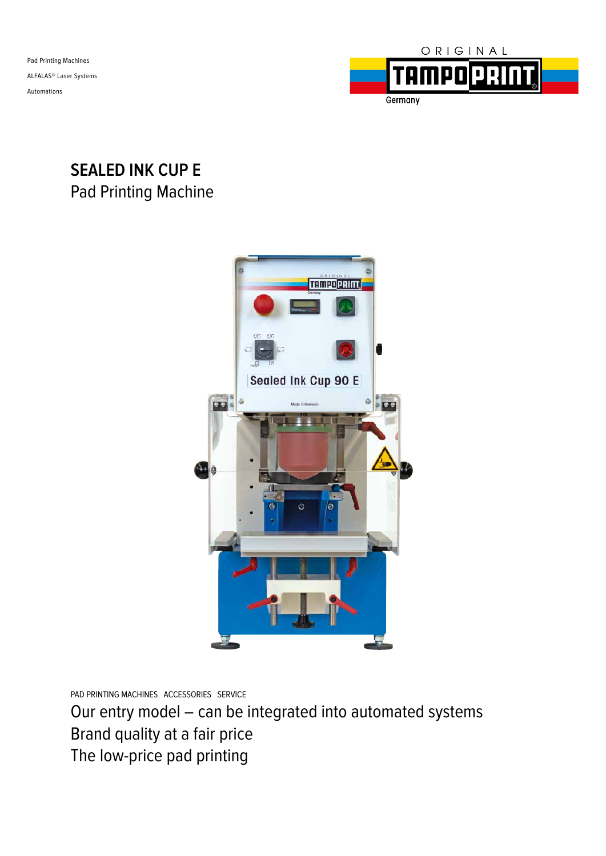Pad Printing Machines ALFALAS® Laser Systems Automations



# **SEALED INK CUP E** Pad Printing Machine



PAD PRINTING MACHINES ACCESSORIES SERVICE

Our entry model – can be integrated into automated systems Brand quality at a fair price The low-price pad printing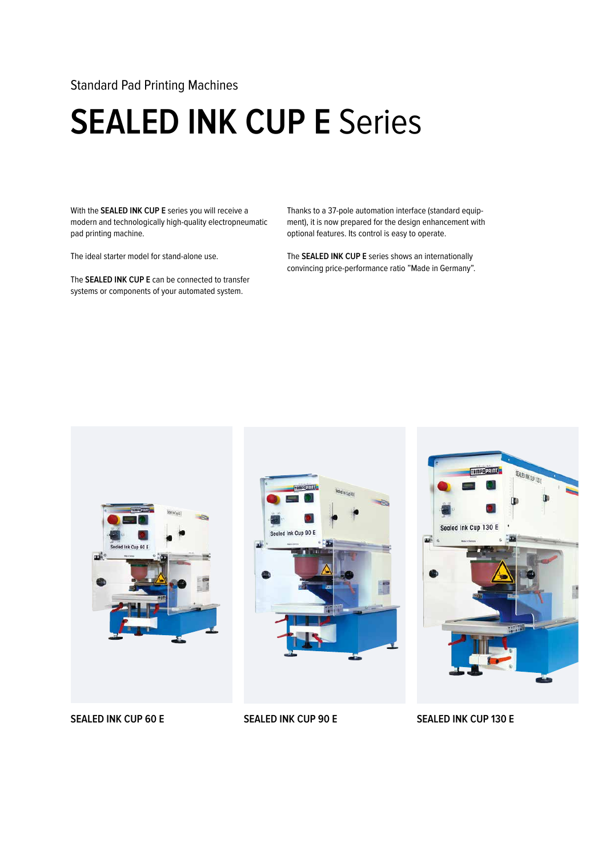### Standard Pad Printing Machines

# **SEALED INK CUP E Series**

With the **SEALED INK CUP E** series you will receive a modern and technologically high-quality electropneumatic pad printing machine.

The ideal starter model for stand-alone use.

The **SEALED INK CUP E** can be connected to transfer systems or components of your automated system.

Thanks to a 37-pole automation interface (standard equipment), it is now prepared for the design enhancement with optional features. Its control is easy to operate.

The **SEALED INK CUP E** series shows an internationally convincing price-performance ratio "Made in Germany".







### **SEALED INK CUP 60 E SEALED INK CUP 90 E SEALED INK CUP 130 E**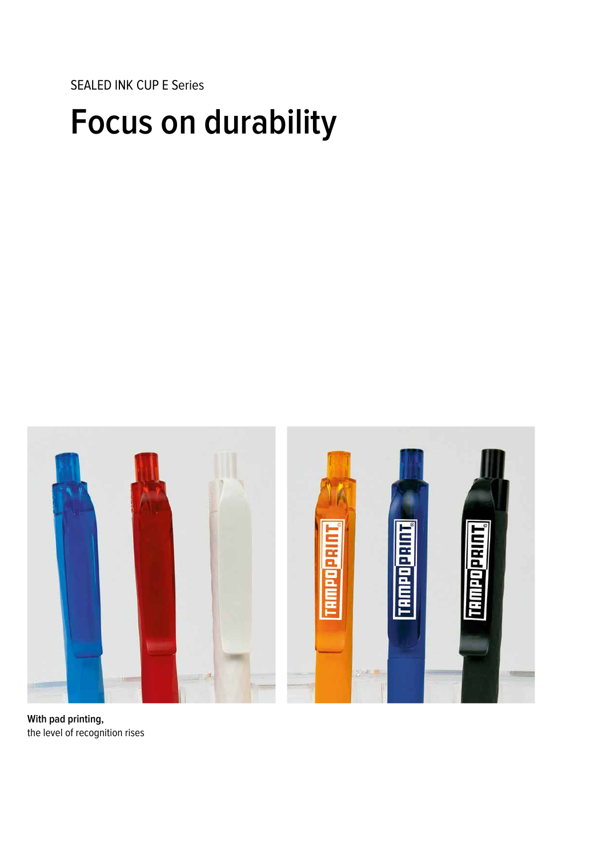SEALED INK CUP E Series

# **Focus on durability**



**With pad printing,** the level of recognition rises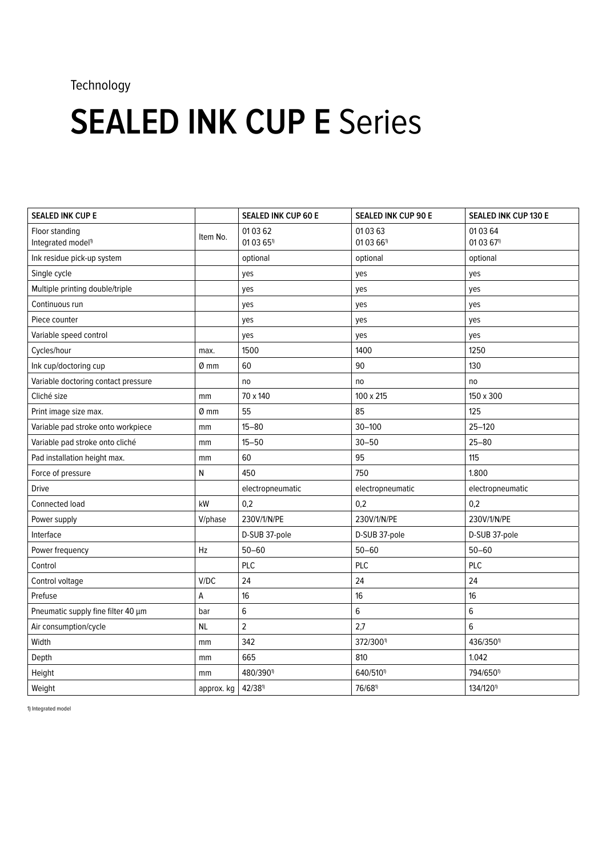## Technology

# **SEALED INK CUP E Series**

| <b>SEALED INK CUP E</b>                          |                  | <b>SEALED INK CUP 60 E</b>       | SEALED INK CUP 90 E    | <b>SEALED INK CUP 130 E</b>        |
|--------------------------------------------------|------------------|----------------------------------|------------------------|------------------------------------|
| Floor standing<br>Integrated model <sup>1)</sup> | Item No.         | 010362<br>01 03 65 <sup>1)</sup> | 01 03 63<br>01 03 661) | 01 03 64<br>01 03 67 <sup>1)</sup> |
| Ink residue pick-up system                       |                  | optional                         | optional               | optional                           |
| Single cycle                                     |                  | yes                              | yes                    | yes                                |
| Multiple printing double/triple                  |                  | yes                              | yes                    | yes                                |
| Continuous run                                   |                  | yes                              | yes                    | yes                                |
| Piece counter                                    |                  | yes                              | yes                    | yes                                |
| Variable speed control                           |                  | yes                              | yes                    | yes                                |
| Cycles/hour                                      | max.             | 1500                             | 1400                   | 1250                               |
| Ink cup/doctoring cup                            | 0 mm             | 60                               | 90                     | 130                                |
| Variable doctoring contact pressure              |                  | no                               | no                     | no                                 |
| Cliché size                                      | mm               | 70 x 140                         | 100 x 215              | 150 x 300                          |
| Print image size max.                            | $\varnothing$ mm | 55                               | 85                     | 125                                |
| Variable pad stroke onto workpiece               | mm               | $15 - 80$                        | $30 - 100$             | $25 - 120$                         |
| Variable pad stroke onto cliché                  | mm               | $15 - 50$                        | $30 - 50$              | $25 - 80$                          |
| Pad installation height max.                     | mm               | 60                               | 95                     | 115                                |
| Force of pressure                                | Ν                | 450                              | 750                    | 1.800                              |
| <b>Drive</b>                                     |                  | electropneumatic                 | electropneumatic       | electropneumatic                   |
| Connected load                                   | kW               | 0,2                              | 0,2                    | 0,2                                |
| Power supply                                     | V/phase          | 230V/1/N/PE                      | 230V/1/N/PE            | 230V/1/N/PE                        |
| Interface                                        |                  | D-SUB 37-pole                    | D-SUB 37-pole          | D-SUB 37-pole                      |
| Power frequency                                  | Hz               | $50 - 60$                        | $50 - 60$              | $50 - 60$                          |
| Control                                          |                  | <b>PLC</b>                       | PLC                    | PLC                                |
| Control voltage                                  | V/DC             | 24                               | 24                     | 24                                 |
| Prefuse                                          | А                | 16                               | 16                     | 16                                 |
| Pneumatic supply fine filter 40 µm               | bar              | 6                                | 6                      | 6                                  |
| Air consumption/cycle                            | <b>NL</b>        | $\overline{c}$                   | 2,7                    | 6                                  |
| Width                                            | mm               | 342                              | 372/3001)              | 436/350 <sup>1</sup>               |
| Depth                                            | mm               | 665                              | 810                    | 1.042                              |
| Height                                           | mm               | 480/390 <sup>1)</sup>            | 640/5101)              | 794/650 <sup>1)</sup>              |
| Weight                                           | approx. kg       | $42/38^{11}$                     | 76/681)                | 134/1201                           |

1) Integrated model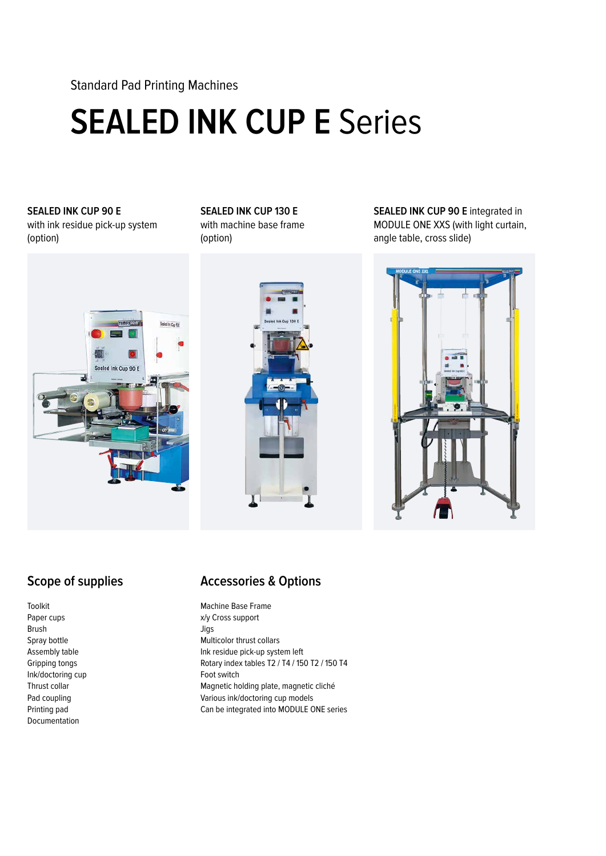Standard Pad Printing Machines

# **SEALED INK CUP E** Series

### **SEALED INK CUP 90 E**  with ink residue pick-up system (option)

### **SEALED INK CUP 130 E** with machine base frame

(option)





**SEALED INK CUP 90 E integrated in** MODULE ONE XXS (with light curtain, angle table, cross slide)



## **Scope of supplies**

Toolkit Paper cups Brush Spray bottle Assembly table Gripping tongs Ink/doctoring cup Thrust collar Pad coupling Printing pad Documentation

### **Accessories & Options**

Machine Base Frame x/y Cross support Jigs Multicolor thrust collars Ink residue pick-up system left Rotary index tables T2 / T4 / 150 T2 / 150 T4 Foot switch Magnetic holding plate, magnetic cliché Various ink/doctoring cup models Can be integrated into MODULE ONE series